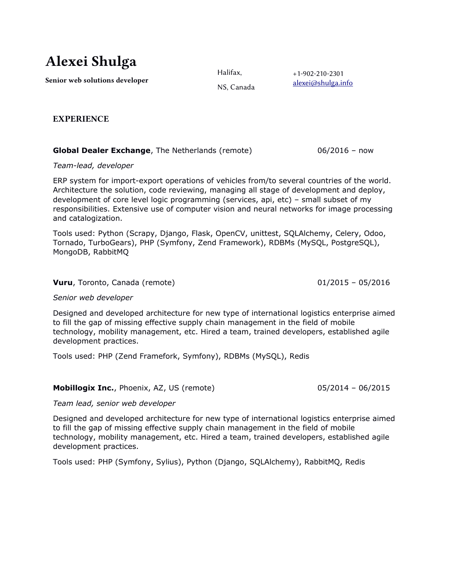# Alexei Shulga

Senior web solutions developer

Halifax,

+1-902-210-2301 [alexei@shulga.info](mailto:alexei@shulga.info)

NS, Canada

EXPERIENCE

# **Global Dealer Exchange**, The Netherlands (remote) 06/2016 - now

## *Team-lead, developer*

ERP system for import-export operations of vehicles from/to several countries of the world. Architecture the solution, code reviewing, managing all stage of development and deploy, development of core level logic programming (services, api, etc) – small subset of my responsibilities. Extensive use of computer vision and neural networks for image processing and catalogization.

Tools used: Python (Scrapy, Django, Flask, OpenCV, unittest, SQLAlchemy, Celery, Odoo, Tornado, TurboGears), PHP (Symfony, Zend Framework), RDBMs (MySQL, PostgreSQL), MongoDB, RabbitMQ

# **Vuru**, Toronto, Canada (remote) 101/2015 – 05/2016

*Senior web developer*

Designed and developed architecture for new type of international logistics enterprise aimed to fill the gap of missing effective supply chain management in the field of mobile technology, mobility management, etc. Hired a team, trained developers, established agile development practices.

Tools used: PHP (Zend Framefork, Symfony), RDBMs (MySQL), Redis

**Mobillogix Inc.**, Phoenix, AZ, US (remote) 05/2014 - 06/2015

*Team lead, senior web developer*

Designed and developed architecture for new type of international logistics enterprise aimed to fill the gap of missing effective supply chain management in the field of mobile technology, mobility management, etc. Hired a team, trained developers, established agile development practices.

Tools used: PHP (Symfony, Sylius), Python (Django, SQLAlchemy), RabbitMQ, Redis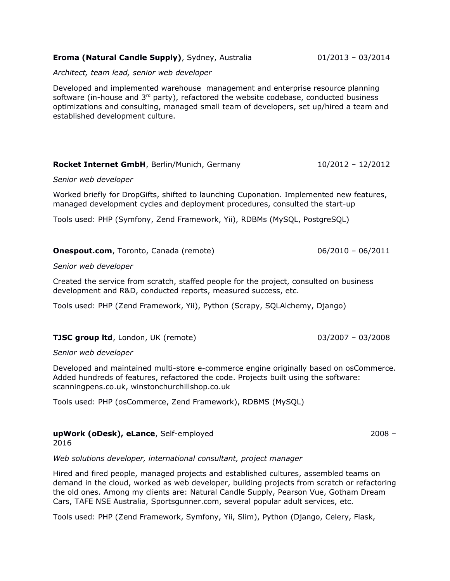### **Eroma (Natural Candle Supply)**, Sydney, Australia  $01/2013 - 03/2014$

*Architect, team lead, senior web developer*

Developed and implemented warehouse management and enterprise resource planning software (in-house and  $3<sup>rd</sup>$  party), refactored the website codebase, conducted business optimizations and consulting, managed small team of developers, set up/hired a team and established development culture.

#### **Rocket Internet GmbH**, Berlin/Munich, Germany 10/2012 - 12/2012

#### *Senior web developer*

Worked briefly for DropGifts, shifted to launching Cuponation. Implemented new features, managed development cycles and deployment procedures, consulted the start-up

Tools used: PHP (Symfony, Zend Framework, Yii), RDBMs (MySQL, PostgreSQL)

### **Onespout.com**, Toronto, Canada (remote) 06/2010 - 06/2011

#### *Senior web developer*

Created the service from scratch, staffed people for the project, consulted on business development and R&D, conducted reports, measured success, etc.

Tools used: PHP (Zend Framework, Yii), Python (Scrapy, SQLAlchemy, Django)

#### **TJSC group ltd**, London, UK (remote) **13SC group ltd**, London, UK (remote) **13SC 978**

#### *Senior web developer*

Developed and maintained multi-store e-commerce engine originally based on osCommerce. Added hundreds of features, refactored the code. Projects built using the software: scanningpens.co.uk, winstonchurchillshop.co.uk

Tools used: PHP (osCommerce, Zend Framework), RDBMS (MySQL)

### **upWork (oDesk), eLance**, Self-employed 2008 – 2016

*Web solutions developer, international consultant, project manager*

Hired and fired people, managed projects and established cultures, assembled teams on demand in the cloud, worked as web developer, building projects from scratch or refactoring the old ones. Among my clients are: Natural Candle Supply, Pearson Vue, Gotham Dream Cars, TAFE NSE Australia, Sportsgunner.com, several popular adult services, etc.

Tools used: PHP (Zend Framework, Symfony, Yii, Slim), Python (Django, Celery, Flask,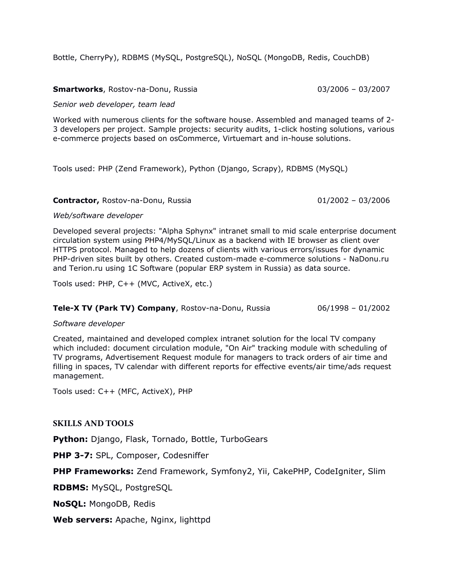Bottle, CherryPy), RDBMS (MySQL, PostgreSQL), NoSQL (MongoDB, Redis, CouchDB)

## **Smartworks**, Rostov-na-Donu, Russia 03/2006 – 03/2007

*Senior web developer, team lead*

Worked with numerous clients for the software house. Assembled and managed teams of 2- 3 developers per project. Sample projects: security audits, 1-click hosting solutions, various e-commerce projects based on osCommerce, Virtuemart and in-house solutions.

Tools used: PHP (Zend Framework), Python (Django, Scrapy), RDBMS (MySQL)

## **Contractor,** Rostov-na-Donu, Russia 201/2002 – 03/2006

## *Web/software developer*

Developed several projects: "Alpha Sphynx" intranet small to mid scale enterprise document circulation system using PHP4/MySQL/Linux as a backend with IE browser as client over HTTPS protocol. Managed to help dozens of clients with various errors/issues for dynamic PHP-driven sites built by others. Created custom-made e-commerce solutions - NaDonu.ru and Terion.ru using 1C Software (popular ERP system in Russia) as data source.

Tools used: PHP, C++ (MVC, ActiveX, etc.)

## **Tele-X TV (Park TV) Company**, Rostov-na-Donu, Russia 06/1998 – 01/2002

## *Software developer*

Created, maintained and developed complex intranet solution for the local TV company which included: document circulation module, "On Air" tracking module with scheduling of TV programs, Advertisement Request module for managers to track orders of air time and filling in spaces, TV calendar with different reports for effective events/air time/ads request management.

Tools used: C++ (MFC, ActiveX), PHP

# SKILLS AND TOOLS

**Python:** Django, Flask, Tornado, Bottle, TurboGears

**PHP 3-7: SPL, Composer, Codesniffer** 

**PHP Frameworks:** Zend Framework, Symfony2, Yii, CakePHP, CodeIgniter, Slim

**RDBMS:** MySQL, PostgreSQL

**NoSQL:** MongoDB, Redis

**Web servers:** Apache, Nginx, lighttpd